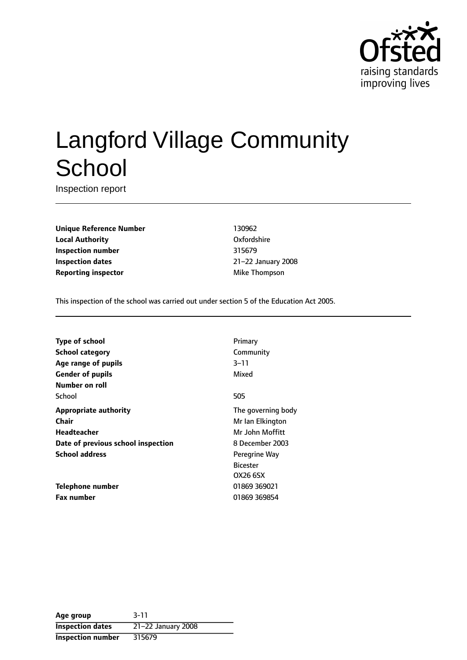

# Langford Village Community **School**

Inspection report

**Unique Reference Number** 130962 **Local Authority COMPOSE COMPOSE COMPOSE CONSUMING A LOCAL COMPOSE CONSUMING A LOCAL COMPOSE CONSUMING A LOCAL COMPOSE Inspection number** 315679 **Inspection dates** 21-22 January 2008 **Reporting inspector** Mike Thompson

This inspection of the school was carried out under section 5 of the Education Act 2005.

| <b>Type of school</b>              | Primary            |
|------------------------------------|--------------------|
| School category                    | Community          |
| Age range of pupils                | $3 - 11$           |
| <b>Gender of pupils</b>            | Mixed              |
| Number on roll                     |                    |
| School                             | 505                |
| <b>Appropriate authority</b>       | The governing body |
| Chair                              | Mr Ian Elkington   |
| <b>Headteacher</b>                 | Mr John Moffitt    |
| Date of previous school inspection | 8 December 2003    |
| <b>School address</b>              | Peregrine Way      |
|                                    | <b>Bicester</b>    |
|                                    | OX26 6SX           |
| Telephone number                   | 01869 369021       |
| <b>Fax number</b>                  | 01869 369854       |

| Age group                | $3 - 11$           |
|--------------------------|--------------------|
| <b>Inspection dates</b>  | 21-22 January 2008 |
| <b>Inspection number</b> | 315679             |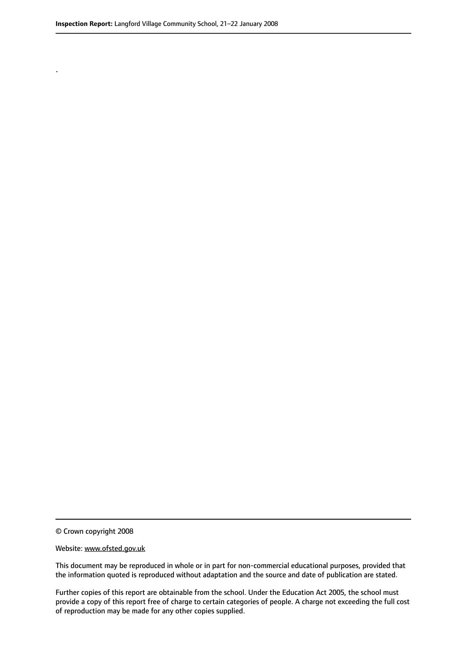.

© Crown copyright 2008

#### Website: www.ofsted.gov.uk

This document may be reproduced in whole or in part for non-commercial educational purposes, provided that the information quoted is reproduced without adaptation and the source and date of publication are stated.

Further copies of this report are obtainable from the school. Under the Education Act 2005, the school must provide a copy of this report free of charge to certain categories of people. A charge not exceeding the full cost of reproduction may be made for any other copies supplied.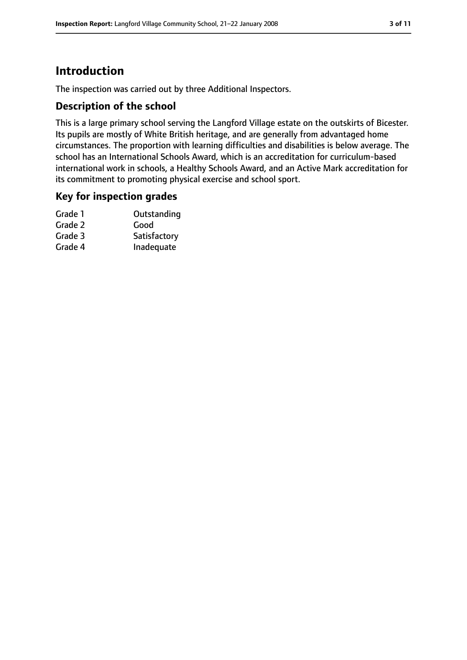### **Introduction**

The inspection was carried out by three Additional Inspectors.

#### **Description of the school**

This is a large primary school serving the Langford Village estate on the outskirts of Bicester. Its pupils are mostly of White British heritage, and are generally from advantaged home circumstances. The proportion with learning difficulties and disabilities is below average. The school has an International Schools Award, which is an accreditation for curriculum-based international work in schools, a Healthy Schools Award, and an Active Mark accreditation for its commitment to promoting physical exercise and school sport.

#### **Key for inspection grades**

| Grade 1 | Outstanding  |
|---------|--------------|
| Grade 2 | Good         |
| Grade 3 | Satisfactory |
| Grade 4 | Inadequate   |
|         |              |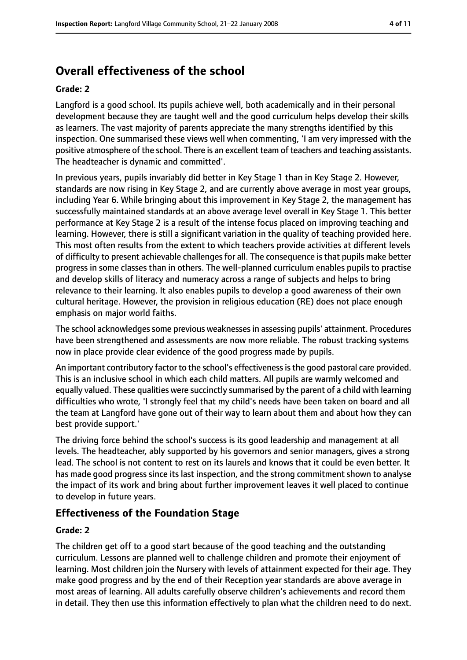### **Overall effectiveness of the school**

#### **Grade: 2**

Langford is a good school. Its pupils achieve well, both academically and in their personal development because they are taught well and the good curriculum helps develop their skills as learners. The vast majority of parents appreciate the many strengths identified by this inspection. One summarised these views well when commenting, 'I am very impressed with the positive atmosphere of the school. There is an excellent team of teachers and teaching assistants. The headteacher is dynamic and committed'.

In previous years, pupils invariably did better in Key Stage 1 than in Key Stage 2. However, standards are now rising in Key Stage 2, and are currently above average in most year groups, including Year 6. While bringing about this improvement in Key Stage 2, the management has successfully maintained standards at an above average level overall in Key Stage 1. This better performance at Key Stage 2 is a result of the intense focus placed on improving teaching and learning. However, there is still a significant variation in the quality of teaching provided here. This most often results from the extent to which teachers provide activities at different levels of difficulty to present achievable challenges for all. The consequence is that pupils make better progress in some classes than in others. The well-planned curriculum enables pupils to practise and develop skills of literacy and numeracy across a range of subjects and helps to bring relevance to their learning. It also enables pupils to develop a good awareness of their own cultural heritage. However, the provision in religious education (RE) does not place enough emphasis on major world faiths.

The school acknowledges some previous weaknesses in assessing pupils' attainment. Procedures have been strengthened and assessments are now more reliable. The robust tracking systems now in place provide clear evidence of the good progress made by pupils.

An important contributory factor to the school's effectiveness is the good pastoral care provided. This is an inclusive school in which each child matters. All pupils are warmly welcomed and equally valued. These qualities were succinctly summarised by the parent of a child with learning difficulties who wrote, 'I strongly feel that my child's needs have been taken on board and all the team at Langford have gone out of their way to learn about them and about how they can best provide support.'

The driving force behind the school's success is its good leadership and management at all levels. The headteacher, ably supported by his governors and senior managers, gives a strong lead. The school is not content to rest on its laurels and knows that it could be even better. It has made good progress since its last inspection, and the strong commitment shown to analyse the impact of its work and bring about further improvement leaves it well placed to continue to develop in future years.

#### **Effectiveness of the Foundation Stage**

#### **Grade: 2**

The children get off to a good start because of the good teaching and the outstanding curriculum. Lessons are planned well to challenge children and promote their enjoyment of learning. Most children join the Nursery with levels of attainment expected for their age. They make good progress and by the end of their Reception year standards are above average in most areas of learning. All adults carefully observe children's achievements and record them in detail. They then use this information effectively to plan what the children need to do next.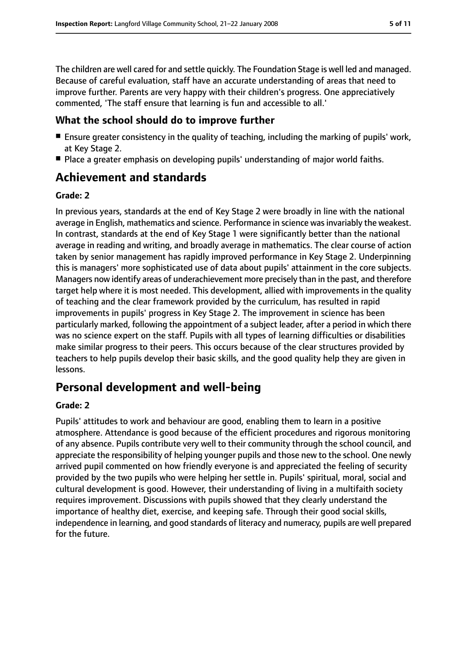The children are well cared for and settle quickly. The Foundation Stage is well led and managed. Because of careful evaluation, staff have an accurate understanding of areas that need to improve further. Parents are very happy with their children's progress. One appreciatively commented, 'The staff ensure that learning is fun and accessible to all.'

#### **What the school should do to improve further**

- Ensure greater consistency in the quality of teaching, including the marking of pupils' work, at Key Stage 2.
- Place a greater emphasis on developing pupils' understanding of major world faiths.

### **Achievement and standards**

#### **Grade: 2**

In previous years, standards at the end of Key Stage 2 were broadly in line with the national average in English, mathematics and science. Performance in science was invariably the weakest. In contrast, standards at the end of Key Stage 1 were significantly better than the national average in reading and writing, and broadly average in mathematics. The clear course of action taken by senior management has rapidly improved performance in Key Stage 2. Underpinning this is managers' more sophisticated use of data about pupils' attainment in the core subjects. Managers now identify areas of underachievement more precisely than in the past, and therefore target help where it is most needed. This development, allied with improvements in the quality of teaching and the clear framework provided by the curriculum, has resulted in rapid improvements in pupils' progress in Key Stage 2. The improvement in science has been particularly marked, following the appointment of a subject leader, after a period in which there was no science expert on the staff. Pupils with all types of learning difficulties or disabilities make similar progress to their peers. This occurs because of the clear structures provided by teachers to help pupils develop their basic skills, and the good quality help they are given in lessons.

### **Personal development and well-being**

#### **Grade: 2**

Pupils' attitudes to work and behaviour are good, enabling them to learn in a positive atmosphere. Attendance is good because of the efficient procedures and rigorous monitoring of any absence. Pupils contribute very well to their community through the school council, and appreciate the responsibility of helping younger pupils and those new to the school. One newly arrived pupil commented on how friendly everyone is and appreciated the feeling of security provided by the two pupils who were helping her settle in. Pupils' spiritual, moral, social and cultural development is good. However, their understanding of living in a multifaith society requires improvement. Discussions with pupils showed that they clearly understand the importance of healthy diet, exercise, and keeping safe. Through their good social skills, independence in learning, and good standards of literacy and numeracy, pupils are well prepared for the future.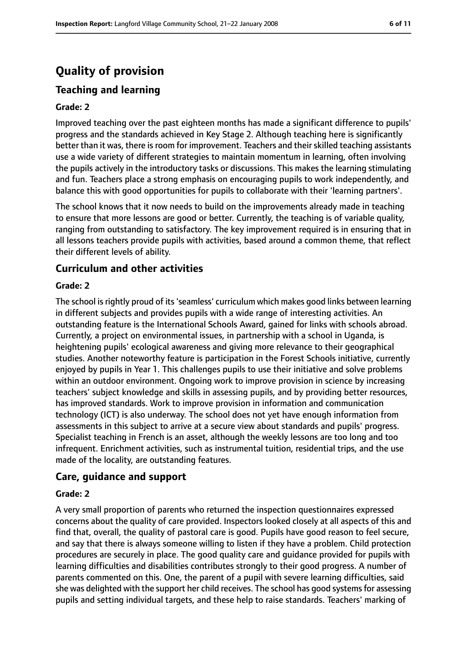## **Quality of provision**

### **Teaching and learning**

#### **Grade: 2**

Improved teaching over the past eighteen months has made a significant difference to pupils' progress and the standards achieved in Key Stage 2. Although teaching here is significantly better than it was, there is room for improvement. Teachers and their skilled teaching assistants use a wide variety of different strategies to maintain momentum in learning, often involving the pupils actively in the introductory tasks or discussions. This makes the learning stimulating and fun. Teachers place a strong emphasis on encouraging pupils to work independently, and balance this with good opportunities for pupils to collaborate with their 'learning partners'.

The school knows that it now needs to build on the improvements already made in teaching to ensure that more lessons are good or better. Currently, the teaching is of variable quality, ranging from outstanding to satisfactory. The key improvement required is in ensuring that in all lessons teachers provide pupils with activities, based around a common theme, that reflect their different levels of ability.

#### **Curriculum and other activities**

#### **Grade: 2**

The school is rightly proud of its 'seamless' curriculum which makes good links between learning in different subjects and provides pupils with a wide range of interesting activities. An outstanding feature is the International Schools Award, gained for links with schools abroad. Currently, a project on environmental issues, in partnership with a school in Uganda, is heightening pupils' ecological awareness and giving more relevance to their geographical studies. Another noteworthy feature is participation in the Forest Schools initiative, currently enjoyed by pupils in Year 1. This challenges pupils to use their initiative and solve problems within an outdoor environment. Ongoing work to improve provision in science by increasing teachers' subject knowledge and skills in assessing pupils, and by providing better resources, has improved standards. Work to improve provision in information and communication technology (ICT) is also underway. The school does not yet have enough information from assessments in this subject to arrive at a secure view about standards and pupils' progress. Specialist teaching in French is an asset, although the weekly lessons are too long and too infrequent. Enrichment activities, such as instrumental tuition, residential trips, and the use made of the locality, are outstanding features.

#### **Care, guidance and support**

#### **Grade: 2**

A very small proportion of parents who returned the inspection questionnaires expressed concerns about the quality of care provided. Inspectors looked closely at all aspects of this and find that, overall, the quality of pastoral care is good. Pupils have good reason to feel secure, and say that there is always someone willing to listen if they have a problem. Child protection procedures are securely in place. The good quality care and guidance provided for pupils with learning difficulties and disabilities contributes strongly to their good progress. A number of parents commented on this. One, the parent of a pupil with severe learning difficulties, said she was delighted with the support her child receives. The school has good systems for assessing pupils and setting individual targets, and these help to raise standards. Teachers' marking of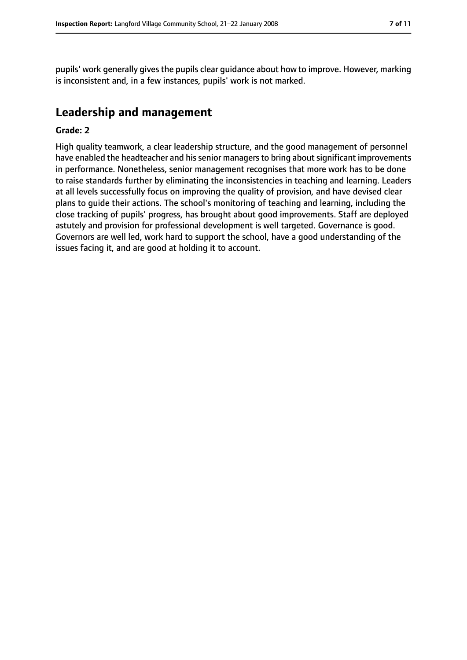pupils' work generally gives the pupils clear guidance about how to improve. However, marking is inconsistent and, in a few instances, pupils' work is not marked.

### **Leadership and management**

#### **Grade: 2**

High quality teamwork, a clear leadership structure, and the good management of personnel have enabled the headteacher and his senior managers to bring about significant improvements in performance. Nonetheless, senior management recognises that more work has to be done to raise standards further by eliminating the inconsistencies in teaching and learning. Leaders at all levels successfully focus on improving the quality of provision, and have devised clear plans to guide their actions. The school's monitoring of teaching and learning, including the close tracking of pupils' progress, has brought about good improvements. Staff are deployed astutely and provision for professional development is well targeted. Governance is good. Governors are well led, work hard to support the school, have a good understanding of the issues facing it, and are good at holding it to account.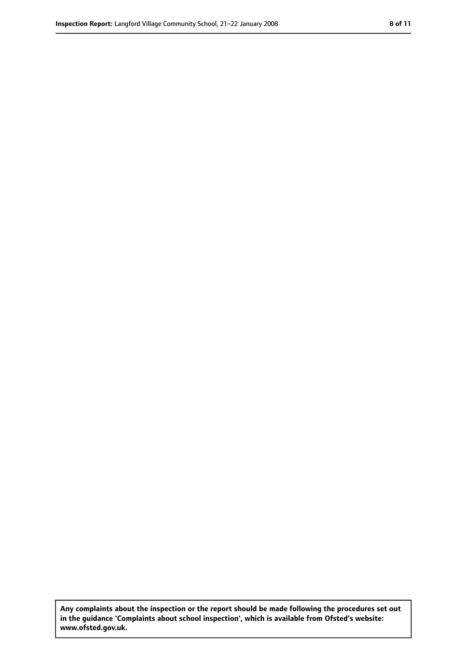**Any complaints about the inspection or the report should be made following the procedures set out in the guidance 'Complaints about school inspection', which is available from Ofsted's website: www.ofsted.gov.uk.**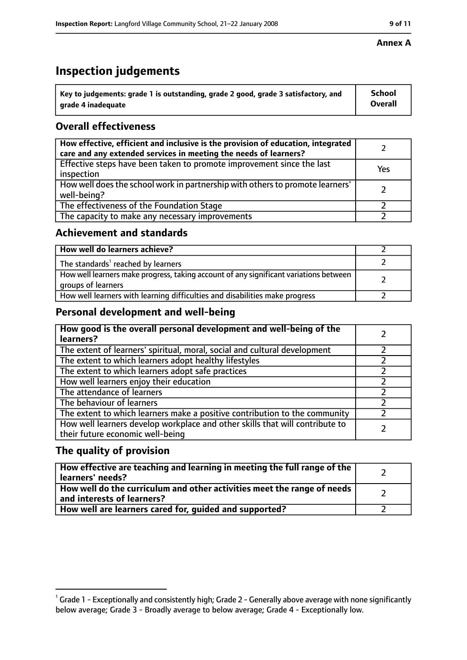## **Inspection judgements**

| $^{\backprime}$ Key to judgements: grade 1 is outstanding, grade 2 good, grade 3 satisfactory, and | <b>School</b>  |
|----------------------------------------------------------------------------------------------------|----------------|
| arade 4 inadequate                                                                                 | <b>Overall</b> |

### **Overall effectiveness**

| How effective, efficient and inclusive is the provision of education, integrated<br>care and any extended services in meeting the needs of learners? |     |
|------------------------------------------------------------------------------------------------------------------------------------------------------|-----|
| Effective steps have been taken to promote improvement since the last<br>inspection                                                                  | Yes |
| How well does the school work in partnership with others to promote learners'<br>well-being?                                                         |     |
| The effectiveness of the Foundation Stage                                                                                                            |     |
| The capacity to make any necessary improvements                                                                                                      |     |

#### **Achievement and standards**

| How well do learners achieve?                                                                               |  |
|-------------------------------------------------------------------------------------------------------------|--|
| The standards <sup>1</sup> reached by learners                                                              |  |
| How well learners make progress, taking account of any significant variations between<br>groups of learners |  |
| How well learners with learning difficulties and disabilities make progress                                 |  |

### **Personal development and well-being**

| How good is the overall personal development and well-being of the<br>learners?                                  |  |
|------------------------------------------------------------------------------------------------------------------|--|
| The extent of learners' spiritual, moral, social and cultural development                                        |  |
| The extent to which learners adopt healthy lifestyles                                                            |  |
| The extent to which learners adopt safe practices                                                                |  |
| How well learners enjoy their education                                                                          |  |
| The attendance of learners                                                                                       |  |
| The behaviour of learners                                                                                        |  |
| The extent to which learners make a positive contribution to the community                                       |  |
| How well learners develop workplace and other skills that will contribute to<br>their future economic well-being |  |

#### **The quality of provision**

| How effective are teaching and learning in meeting the full range of the<br>learners' needs?          |  |
|-------------------------------------------------------------------------------------------------------|--|
| How well do the curriculum and other activities meet the range of needs<br>and interests of learners? |  |
| How well are learners cared for, guided and supported?                                                |  |

#### **Annex A**

 $^1$  Grade 1 - Exceptionally and consistently high; Grade 2 - Generally above average with none significantly below average; Grade 3 - Broadly average to below average; Grade 4 - Exceptionally low.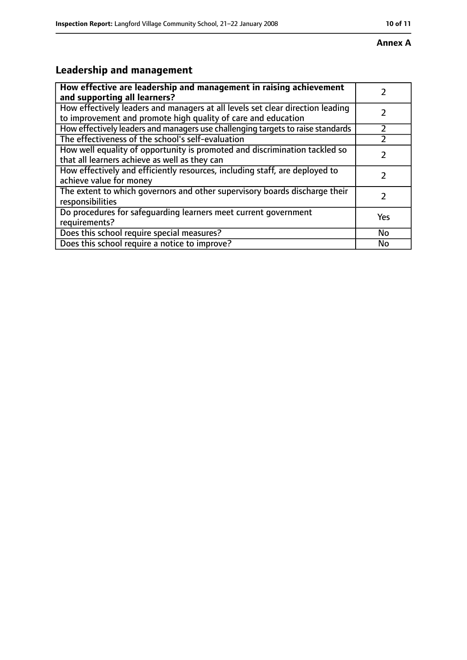#### **Annex A**

## **Leadership and management**

| How effective are leadership and management in raising achievement<br>and supporting all learners?                                              |     |
|-------------------------------------------------------------------------------------------------------------------------------------------------|-----|
| How effectively leaders and managers at all levels set clear direction leading<br>to improvement and promote high quality of care and education |     |
| How effectively leaders and managers use challenging targets to raise standards                                                                 |     |
| The effectiveness of the school's self-evaluation                                                                                               |     |
| How well equality of opportunity is promoted and discrimination tackled so<br>that all learners achieve as well as they can                     |     |
| How effectively and efficiently resources, including staff, are deployed to<br>achieve value for money                                          | 7   |
| The extent to which governors and other supervisory boards discharge their<br>responsibilities                                                  | 7   |
| Do procedures for safequarding learners meet current government<br>requirements?                                                                | Yes |
| Does this school require special measures?                                                                                                      | No  |
| Does this school require a notice to improve?                                                                                                   | No  |